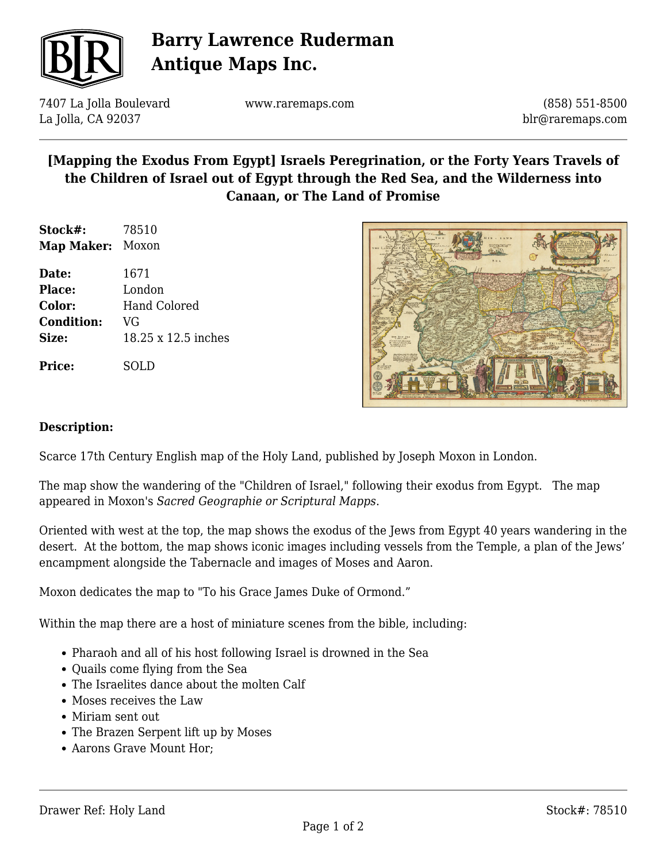

# **Barry Lawrence Ruderman Antique Maps Inc.**

7407 La Jolla Boulevard La Jolla, CA 92037

www.raremaps.com

(858) 551-8500 blr@raremaps.com

## **[Mapping the Exodus From Egypt] Israels Peregrination, or the Forty Years Travels of the Children of Israel out of Egypt through the Red Sea, and the Wilderness into Canaan, or The Land of Promise**

| Stock#:           | 78510 |
|-------------------|-------|
| <b>Map Maker:</b> | Moxon |

**Date:** 1671 **Place:** London **Color:** Hand Colored **Condition:** VG **Size:** 18.25 x 12.5 inches

**Price:** SOLD



#### **Description:**

Scarce 17th Century English map of the Holy Land, published by Joseph Moxon in London.

The map show the wandering of the "Children of Israel," following their exodus from Egypt. The map appeared in Moxon's *Sacred Geographie or Scriptural Mapps*.

Oriented with west at the top, the map shows the exodus of the Jews from Egypt 40 years wandering in the desert. At the bottom, the map shows iconic images including vessels from the Temple, a plan of the Jews' encampment alongside the Tabernacle and images of Moses and Aaron.

Moxon dedicates the map to "To his Grace James Duke of Ormond."

Within the map there are a host of miniature scenes from the bible, including:

- Pharaoh and all of his host following Israel is drowned in the Sea
- Ouails come flying from the Sea
- The Israelites dance about the molten Calf
- Moses receives the Law
- Miriam sent out
- The Brazen Serpent lift up by Moses
- Aarons Grave Mount Hor;